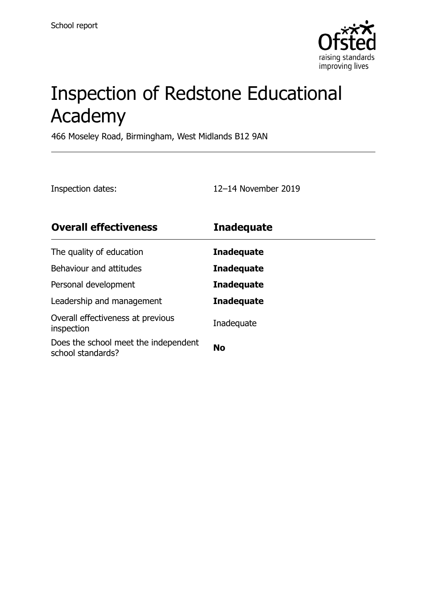

# Inspection of Redstone Educational Academy

466 Moseley Road, Birmingham, West Midlands B12 9AN

Inspection dates: 12–14 November 2019

| <b>Overall effectiveness</b>                              | <b>Inadequate</b> |
|-----------------------------------------------------------|-------------------|
| The quality of education                                  | <b>Inadequate</b> |
| Behaviour and attitudes                                   | <b>Inadequate</b> |
| Personal development                                      | <b>Inadequate</b> |
| Leadership and management                                 | <b>Inadequate</b> |
| Overall effectiveness at previous<br>inspection           | Inadequate        |
| Does the school meet the independent<br>school standards? | <b>No</b>         |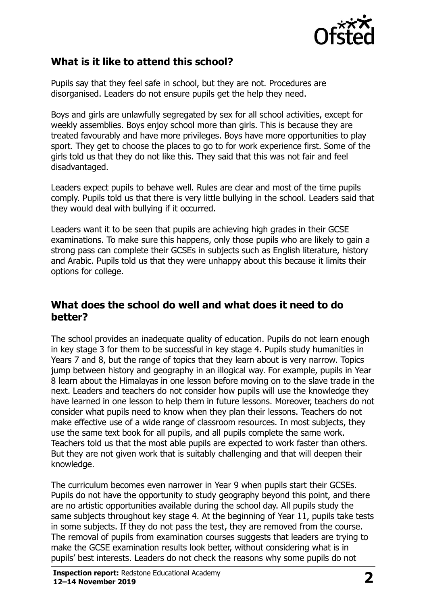

# **What is it like to attend this school?**

Pupils say that they feel safe in school, but they are not. Procedures are disorganised. Leaders do not ensure pupils get the help they need.

Boys and girls are unlawfully segregated by sex for all school activities, except for weekly assemblies. Boys enjoy school more than girls. This is because they are treated favourably and have more privileges. Boys have more opportunities to play sport. They get to choose the places to go to for work experience first. Some of the girls told us that they do not like this. They said that this was not fair and feel disadvantaged.

Leaders expect pupils to behave well. Rules are clear and most of the time pupils comply. Pupils told us that there is very little bullying in the school. Leaders said that they would deal with bullying if it occurred.

Leaders want it to be seen that pupils are achieving high grades in their GCSE examinations. To make sure this happens, only those pupils who are likely to gain a strong pass can complete their GCSEs in subjects such as English literature, history and Arabic. Pupils told us that they were unhappy about this because it limits their options for college.

## **What does the school do well and what does it need to do better?**

The school provides an inadequate quality of education. Pupils do not learn enough in key stage 3 for them to be successful in key stage 4. Pupils study humanities in Years 7 and 8, but the range of topics that they learn about is very narrow. Topics jump between history and geography in an illogical way. For example, pupils in Year 8 learn about the Himalayas in one lesson before moving on to the slave trade in the next. Leaders and teachers do not consider how pupils will use the knowledge they have learned in one lesson to help them in future lessons. Moreover, teachers do not consider what pupils need to know when they plan their lessons. Teachers do not make effective use of a wide range of classroom resources. In most subjects, they use the same text book for all pupils, and all pupils complete the same work. Teachers told us that the most able pupils are expected to work faster than others. But they are not given work that is suitably challenging and that will deepen their knowledge.

The curriculum becomes even narrower in Year 9 when pupils start their GCSEs. Pupils do not have the opportunity to study geography beyond this point, and there are no artistic opportunities available during the school day. All pupils study the same subjects throughout key stage 4. At the beginning of Year 11, pupils take tests in some subjects. If they do not pass the test, they are removed from the course. The removal of pupils from examination courses suggests that leaders are trying to make the GCSE examination results look better, without considering what is in pupils' best interests. Leaders do not check the reasons why some pupils do not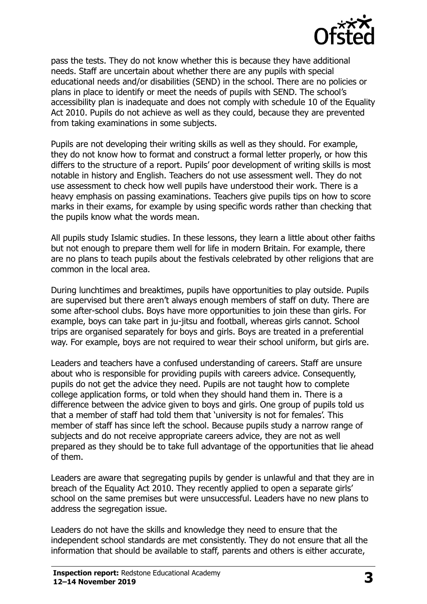

pass the tests. They do not know whether this is because they have additional needs. Staff are uncertain about whether there are any pupils with special educational needs and/or disabilities (SEND) in the school. There are no policies or plans in place to identify or meet the needs of pupils with SEND. The school's accessibility plan is inadequate and does not comply with schedule 10 of the Equality Act 2010. Pupils do not achieve as well as they could, because they are prevented from taking examinations in some subjects.

Pupils are not developing their writing skills as well as they should. For example, they do not know how to format and construct a formal letter properly, or how this differs to the structure of a report. Pupils' poor development of writing skills is most notable in history and English. Teachers do not use assessment well. They do not use assessment to check how well pupils have understood their work. There is a heavy emphasis on passing examinations. Teachers give pupils tips on how to score marks in their exams, for example by using specific words rather than checking that the pupils know what the words mean.

All pupils study Islamic studies. In these lessons, they learn a little about other faiths but not enough to prepare them well for life in modern Britain. For example, there are no plans to teach pupils about the festivals celebrated by other religions that are common in the local area.

During lunchtimes and breaktimes, pupils have opportunities to play outside. Pupils are supervised but there aren't always enough members of staff on duty. There are some after-school clubs. Boys have more opportunities to join these than girls. For example, boys can take part in ju-jitsu and football, whereas girls cannot. School trips are organised separately for boys and girls. Boys are treated in a preferential way. For example, boys are not required to wear their school uniform, but girls are.

Leaders and teachers have a confused understanding of careers. Staff are unsure about who is responsible for providing pupils with careers advice. Consequently, pupils do not get the advice they need. Pupils are not taught how to complete college application forms, or told when they should hand them in. There is a difference between the advice given to boys and girls. One group of pupils told us that a member of staff had told them that 'university is not for females'. This member of staff has since left the school. Because pupils study a narrow range of subjects and do not receive appropriate careers advice, they are not as well prepared as they should be to take full advantage of the opportunities that lie ahead of them.

Leaders are aware that segregating pupils by gender is unlawful and that they are in breach of the Equality Act 2010. They recently applied to open a separate girls' school on the same premises but were unsuccessful. Leaders have no new plans to address the segregation issue.

Leaders do not have the skills and knowledge they need to ensure that the independent school standards are met consistently. They do not ensure that all the information that should be available to staff, parents and others is either accurate,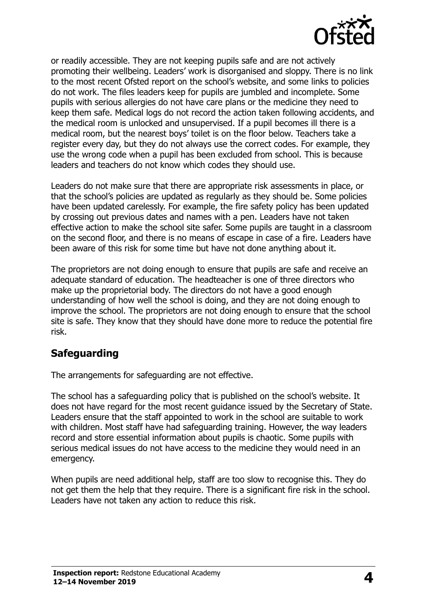

or readily accessible. They are not keeping pupils safe and are not actively promoting their wellbeing. Leaders' work is disorganised and sloppy. There is no link to the most recent Ofsted report on the school's website, and some links to policies do not work. The files leaders keep for pupils are jumbled and incomplete. Some pupils with serious allergies do not have care plans or the medicine they need to keep them safe. Medical logs do not record the action taken following accidents, and the medical room is unlocked and unsupervised. If a pupil becomes ill there is a medical room, but the nearest boys' toilet is on the floor below. Teachers take a register every day, but they do not always use the correct codes. For example, they use the wrong code when a pupil has been excluded from school. This is because leaders and teachers do not know which codes they should use.

Leaders do not make sure that there are appropriate risk assessments in place, or that the school's policies are updated as regularly as they should be. Some policies have been updated carelessly. For example, the fire safety policy has been updated by crossing out previous dates and names with a pen. Leaders have not taken effective action to make the school site safer. Some pupils are taught in a classroom on the second floor, and there is no means of escape in case of a fire. Leaders have been aware of this risk for some time but have not done anything about it.

The proprietors are not doing enough to ensure that pupils are safe and receive an adequate standard of education. The headteacher is one of three directors who make up the proprietorial body. The directors do not have a good enough understanding of how well the school is doing, and they are not doing enough to improve the school. The proprietors are not doing enough to ensure that the school site is safe. They know that they should have done more to reduce the potential fire risk.

# **Safeguarding**

The arrangements for safeguarding are not effective.

The school has a safeguarding policy that is published on the school's website. It does not have regard for the most recent guidance issued by the Secretary of State. Leaders ensure that the staff appointed to work in the school are suitable to work with children. Most staff have had safeguarding training. However, the way leaders record and store essential information about pupils is chaotic. Some pupils with serious medical issues do not have access to the medicine they would need in an emergency.

When pupils are need additional help, staff are too slow to recognise this. They do not get them the help that they require. There is a significant fire risk in the school. Leaders have not taken any action to reduce this risk.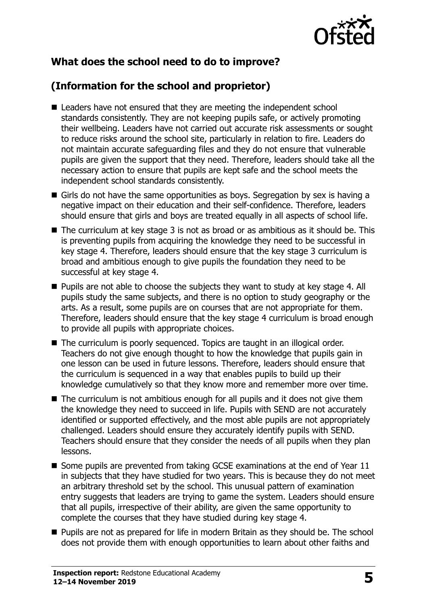

# **What does the school need to do to improve?**

# **(Information for the school and proprietor)**

- Leaders have not ensured that they are meeting the independent school standards consistently. They are not keeping pupils safe, or actively promoting their wellbeing. Leaders have not carried out accurate risk assessments or sought to reduce risks around the school site, particularly in relation to fire. Leaders do not maintain accurate safeguarding files and they do not ensure that vulnerable pupils are given the support that they need. Therefore, leaders should take all the necessary action to ensure that pupils are kept safe and the school meets the independent school standards consistently.
- Girls do not have the same opportunities as boys. Segregation by sex is having a negative impact on their education and their self-confidence. Therefore, leaders should ensure that girls and boys are treated equally in all aspects of school life.
- The curriculum at key stage 3 is not as broad or as ambitious as it should be. This is preventing pupils from acquiring the knowledge they need to be successful in key stage 4. Therefore, leaders should ensure that the key stage 3 curriculum is broad and ambitious enough to give pupils the foundation they need to be successful at key stage 4.
- Pupils are not able to choose the subjects they want to study at key stage 4. All pupils study the same subjects, and there is no option to study geography or the arts. As a result, some pupils are on courses that are not appropriate for them. Therefore, leaders should ensure that the key stage 4 curriculum is broad enough to provide all pupils with appropriate choices.
- The curriculum is poorly sequenced. Topics are taught in an illogical order. Teachers do not give enough thought to how the knowledge that pupils gain in one lesson can be used in future lessons. Therefore, leaders should ensure that the curriculum is sequenced in a way that enables pupils to build up their knowledge cumulatively so that they know more and remember more over time.
- The curriculum is not ambitious enough for all pupils and it does not give them the knowledge they need to succeed in life. Pupils with SEND are not accurately identified or supported effectively, and the most able pupils are not appropriately challenged. Leaders should ensure they accurately identify pupils with SEND. Teachers should ensure that they consider the needs of all pupils when they plan lessons.
- Some pupils are prevented from taking GCSE examinations at the end of Year 11 in subjects that they have studied for two years. This is because they do not meet an arbitrary threshold set by the school. This unusual pattern of examination entry suggests that leaders are trying to game the system. Leaders should ensure that all pupils, irrespective of their ability, are given the same opportunity to complete the courses that they have studied during key stage 4.
- Pupils are not as prepared for life in modern Britain as they should be. The school does not provide them with enough opportunities to learn about other faiths and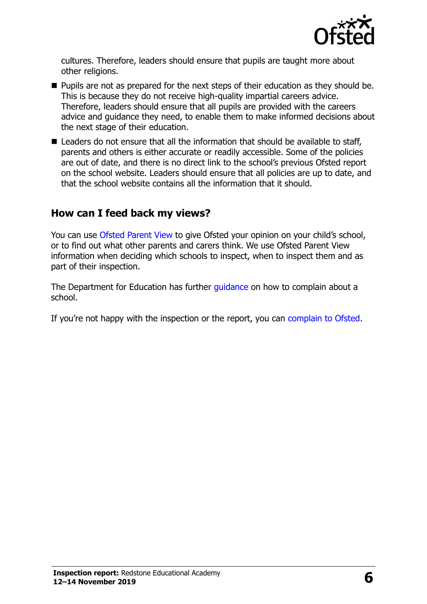

cultures. Therefore, leaders should ensure that pupils are taught more about other religions.

- Pupils are not as prepared for the next steps of their education as they should be. This is because they do not receive high-quality impartial careers advice. Therefore, leaders should ensure that all pupils are provided with the careers advice and guidance they need, to enable them to make informed decisions about the next stage of their education.
- Leaders do not ensure that all the information that should be available to staff, parents and others is either accurate or readily accessible. Some of the policies are out of date, and there is no direct link to the school's previous Ofsted report on the school website. Leaders should ensure that all policies are up to date, and that the school website contains all the information that it should.

# **How can I feed back my views?**

You can use [Ofsted Parent View](http://parentview.ofsted.gov.uk/) to give Ofsted your opinion on your child's school, or to find out what other parents and carers think. We use Ofsted Parent View information when deciding which schools to inspect, when to inspect them and as part of their inspection.

The Department for Education has further quidance on how to complain about a school.

If you're not happy with the inspection or the report, you can [complain to Ofsted.](http://www.gov.uk/complain-ofsted-report)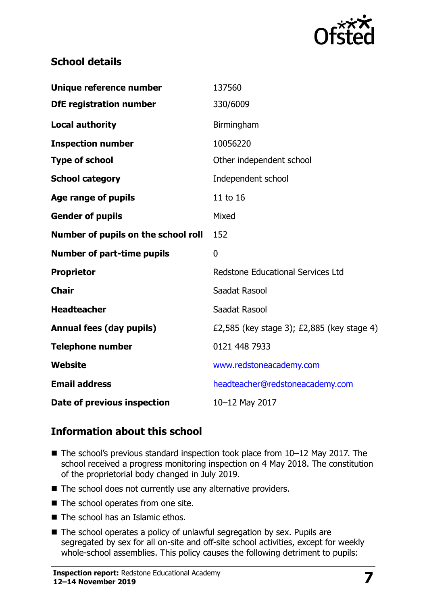

# **School details**

| Unique reference number             | 137560                                     |
|-------------------------------------|--------------------------------------------|
| <b>DfE registration number</b>      | 330/6009                                   |
| <b>Local authority</b>              | Birmingham                                 |
| <b>Inspection number</b>            | 10056220                                   |
| <b>Type of school</b>               | Other independent school                   |
| <b>School category</b>              | Independent school                         |
| Age range of pupils                 | 11 to 16                                   |
| <b>Gender of pupils</b>             | Mixed                                      |
| Number of pupils on the school roll | 152                                        |
| <b>Number of part-time pupils</b>   | $\mathbf{0}$                               |
| <b>Proprietor</b>                   | <b>Redstone Educational Services Ltd</b>   |
| <b>Chair</b>                        | Saadat Rasool                              |
| <b>Headteacher</b>                  | Saadat Rasool                              |
| <b>Annual fees (day pupils)</b>     | £2,585 (key stage 3); £2,885 (key stage 4) |
| <b>Telephone number</b>             | 0121 448 7933                              |
| <b>Website</b>                      | www.redstoneacademy.com                    |
| <b>Email address</b>                |                                            |
|                                     | headteacher@redstoneacademy.com            |

# **Information about this school**

- The school's previous standard inspection took place from 10–12 May 2017. The school received a progress monitoring inspection on 4 May 2018. The constitution of the proprietorial body changed in July 2019.
- The school does not currently use any alternative providers.
- The school operates from one site.
- The school has an Islamic ethos.
- The school operates a policy of unlawful segregation by sex. Pupils are segregated by sex for all on-site and off-site school activities, except for weekly whole-school assemblies. This policy causes the following detriment to pupils: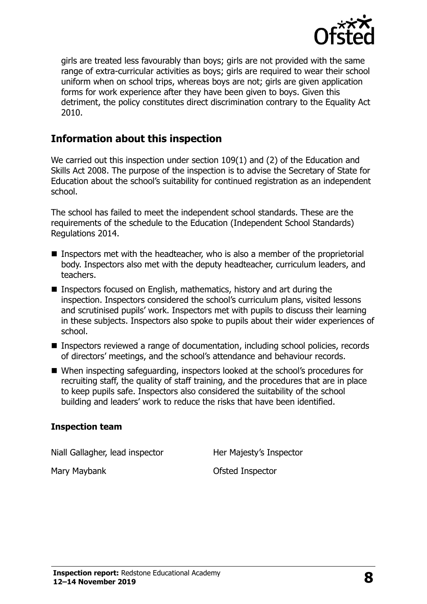

girls are treated less favourably than boys; girls are not provided with the same range of extra-curricular activities as boys; girls are required to wear their school uniform when on school trips, whereas boys are not; girls are given application forms for work experience after they have been given to boys. Given this detriment, the policy constitutes direct discrimination contrary to the Equality Act 2010.

# **Information about this inspection**

We carried out this inspection under section 109(1) and (2) of the Education and Skills Act 2008. The purpose of the inspection is to advise the Secretary of State for Education about the school's suitability for continued registration as an independent school.

The school has failed to meet the independent school standards. These are the requirements of the schedule to the Education (Independent School Standards) Regulations 2014.

- Inspectors met with the headteacher, who is also a member of the proprietorial body. Inspectors also met with the deputy headteacher, curriculum leaders, and teachers.
- Inspectors focused on English, mathematics, history and art during the inspection. Inspectors considered the school's curriculum plans, visited lessons and scrutinised pupils' work. Inspectors met with pupils to discuss their learning in these subjects. Inspectors also spoke to pupils about their wider experiences of school.
- Inspectors reviewed a range of documentation, including school policies, records of directors' meetings, and the school's attendance and behaviour records.
- When inspecting safeguarding, inspectors looked at the school's procedures for recruiting staff, the quality of staff training, and the procedures that are in place to keep pupils safe. Inspectors also considered the suitability of the school building and leaders' work to reduce the risks that have been identified.

#### **Inspection team**

Niall Gallagher, lead inspector **Her Majesty's Inspector** 

Mary Maybank **Ofsted Inspector**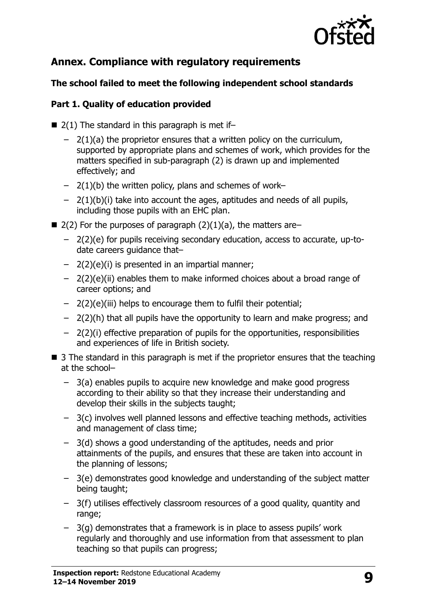

# **Annex. Compliance with regulatory requirements**

## **The school failed to meet the following independent school standards**

## **Part 1. Quality of education provided**

- $\blacksquare$  2(1) The standard in this paragraph is met if-
	- $-$  2(1)(a) the proprietor ensures that a written policy on the curriculum, supported by appropriate plans and schemes of work, which provides for the matters specified in sub-paragraph (2) is drawn up and implemented effectively; and
	- $-$  2(1)(b) the written policy, plans and schemes of work–
	- $-$  2(1)(b)(i) take into account the ages, aptitudes and needs of all pupils, including those pupils with an EHC plan.
- $\blacksquare$  2(2) For the purposes of paragraph (2)(1)(a), the matters are–
	- 2(2)(e) for pupils receiving secondary education, access to accurate, up-todate careers guidance that–
	- $-$  2(2)(e)(i) is presented in an impartial manner;
	- 2(2)(e)(ii) enables them to make informed choices about a broad range of career options; and
	- 2(2)(e)(iii) helps to encourage them to fulfil their potential;
	- 2(2)(h) that all pupils have the opportunity to learn and make progress; and
	- 2(2)(i) effective preparation of pupils for the opportunities, responsibilities and experiences of life in British society.
- $\blacksquare$  3 The standard in this paragraph is met if the proprietor ensures that the teaching at the school–
	- 3(a) enables pupils to acquire new knowledge and make good progress according to their ability so that they increase their understanding and develop their skills in the subjects taught;
	- 3(c) involves well planned lessons and effective teaching methods, activities and management of class time;
	- 3(d) shows a good understanding of the aptitudes, needs and prior attainments of the pupils, and ensures that these are taken into account in the planning of lessons;
	- 3(e) demonstrates good knowledge and understanding of the subject matter being taught;
	- 3(f) utilises effectively classroom resources of a good quality, quantity and range;
	- 3(g) demonstrates that a framework is in place to assess pupils' work regularly and thoroughly and use information from that assessment to plan teaching so that pupils can progress;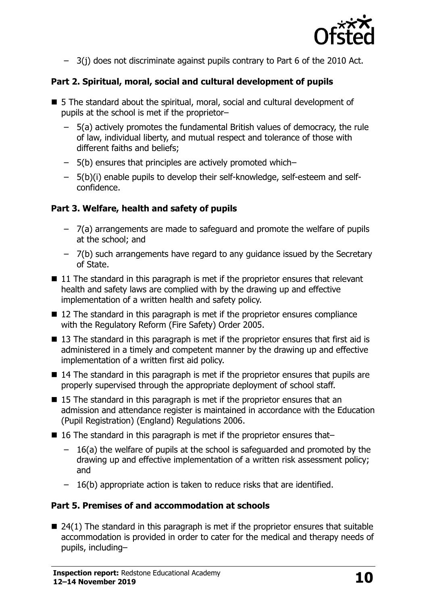

– 3(j) does not discriminate against pupils contrary to Part 6 of the 2010 Act.

# **Part 2. Spiritual, moral, social and cultural development of pupils**

- 5 The standard about the spiritual, moral, social and cultural development of pupils at the school is met if the proprietor–
	- 5(a) actively promotes the fundamental British values of democracy, the rule of law, individual liberty, and mutual respect and tolerance of those with different faiths and beliefs;
	- 5(b) ensures that principles are actively promoted which–
	- 5(b)(i) enable pupils to develop their self-knowledge, self-esteem and selfconfidence.

## **Part 3. Welfare, health and safety of pupils**

- 7(a) arrangements are made to safeguard and promote the welfare of pupils at the school; and
- 7(b) such arrangements have regard to any guidance issued by the Secretary of State.
- $\blacksquare$  11 The standard in this paragraph is met if the proprietor ensures that relevant health and safety laws are complied with by the drawing up and effective implementation of a written health and safety policy.
- 12 The standard in this paragraph is met if the proprietor ensures compliance with the Regulatory Reform (Fire Safety) Order 2005.
- $\blacksquare$  13 The standard in this paragraph is met if the proprietor ensures that first aid is administered in a timely and competent manner by the drawing up and effective implementation of a written first aid policy.
- 14 The standard in this paragraph is met if the proprietor ensures that pupils are properly supervised through the appropriate deployment of school staff.
- 15 The standard in this paragraph is met if the proprietor ensures that an admission and attendance register is maintained in accordance with the Education (Pupil Registration) (England) Regulations 2006.
- 16 The standard in this paragraph is met if the proprietor ensures that–
	- 16(a) the welfare of pupils at the school is safeguarded and promoted by the drawing up and effective implementation of a written risk assessment policy; and
	- 16(b) appropriate action is taken to reduce risks that are identified.

## **Part 5. Premises of and accommodation at schools**

 $\blacksquare$  24(1) The standard in this paragraph is met if the proprietor ensures that suitable accommodation is provided in order to cater for the medical and therapy needs of pupils, including–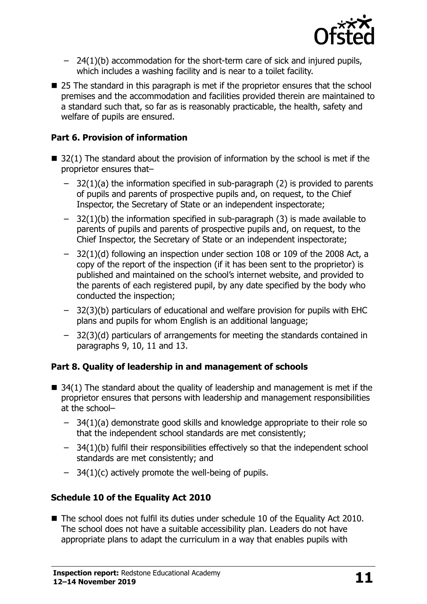

- 24(1)(b) accommodation for the short-term care of sick and injured pupils, which includes a washing facility and is near to a toilet facility.
- 25 The standard in this paragraph is met if the proprietor ensures that the school premises and the accommodation and facilities provided therein are maintained to a standard such that, so far as is reasonably practicable, the health, safety and welfare of pupils are ensured.

### **Part 6. Provision of information**

- $\blacksquare$  32(1) The standard about the provision of information by the school is met if the proprietor ensures that–
	- $-$  32(1)(a) the information specified in sub-paragraph (2) is provided to parents of pupils and parents of prospective pupils and, on request, to the Chief Inspector, the Secretary of State or an independent inspectorate;
	- $-$  32(1)(b) the information specified in sub-paragraph (3) is made available to parents of pupils and parents of prospective pupils and, on request, to the Chief Inspector, the Secretary of State or an independent inspectorate;
	- 32(1)(d) following an inspection under section 108 or 109 of the 2008 Act, a copy of the report of the inspection (if it has been sent to the proprietor) is published and maintained on the school's internet website, and provided to the parents of each registered pupil, by any date specified by the body who conducted the inspection;
	- 32(3)(b) particulars of educational and welfare provision for pupils with EHC plans and pupils for whom English is an additional language;
	- 32(3)(d) particulars of arrangements for meeting the standards contained in paragraphs 9, 10, 11 and 13.

## **Part 8. Quality of leadership in and management of schools**

- $\blacksquare$  34(1) The standard about the quality of leadership and management is met if the proprietor ensures that persons with leadership and management responsibilities at the school–
	- 34(1)(a) demonstrate good skills and knowledge appropriate to their role so that the independent school standards are met consistently;
	- 34(1)(b) fulfil their responsibilities effectively so that the independent school standards are met consistently; and
	- $-$  34(1)(c) actively promote the well-being of pupils.

## **Schedule 10 of the Equality Act 2010**

■ The school does not fulfil its duties under schedule 10 of the Equality Act 2010. The school does not have a suitable accessibility plan. Leaders do not have appropriate plans to adapt the curriculum in a way that enables pupils with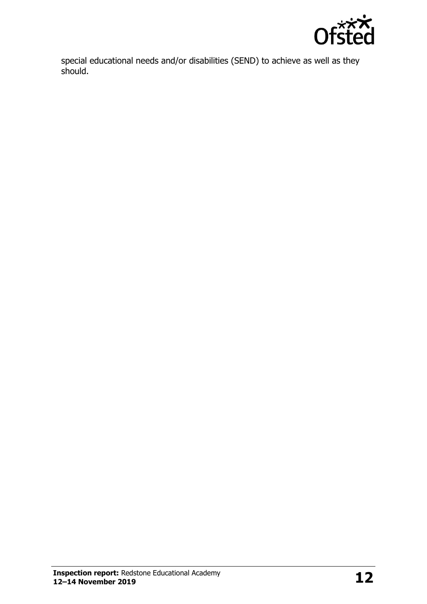

special educational needs and/or disabilities (SEND) to achieve as well as they should.